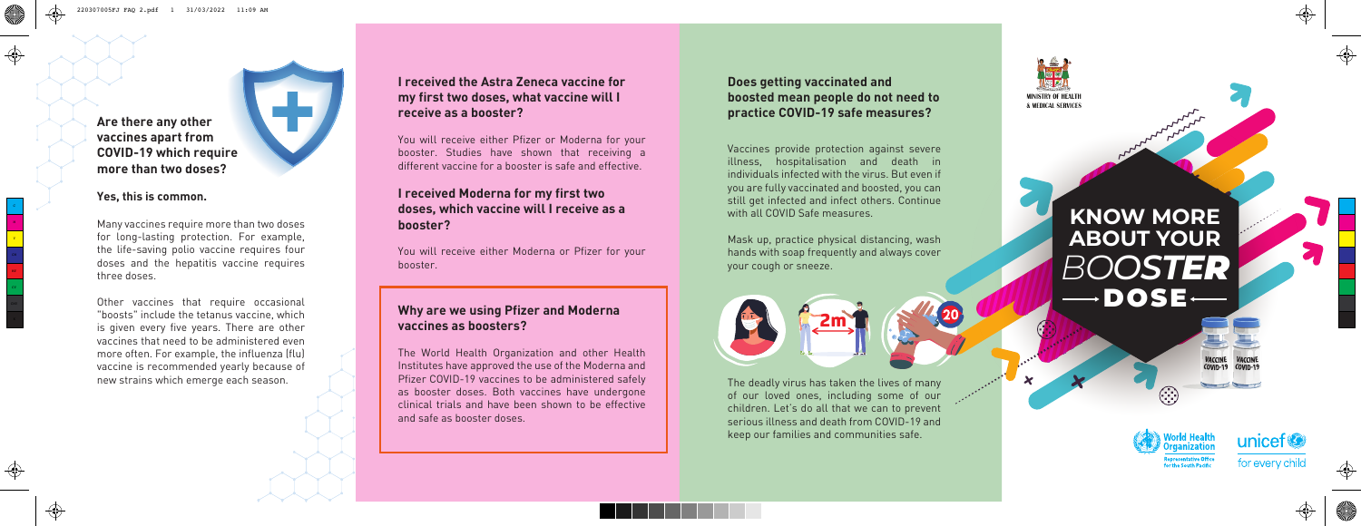## **I received the Astra Zeneca vaccine for my first two doses, what vaccine will I receive as a booster?**

You will receive either Pfizer or Moderna for your booster. Studies have shown that receiving a different vaccine for a booster is safe and effective.

# **KNOW MORE ABOUT YOUR** DOSE *BOOSTER*











## **I received Moderna for my first two doses, which vaccine will I receive as a booster?**

You will receive either Moderna or Pfizer for your booster.

## **Why are we using Pfizer and Moderna vaccines as boosters?**

The World Health Organization and other Health Institutes have approved the use of the Moderna and Pfizer COVID-19 vaccines to be administered safely as booster doses. Both vaccines have undergone clinical trials and have been shown to be effective and safe as booster doses.

## **Does getting vaccinated and boosted mean people do not need to practice COVID-19 safe measures?**

Vaccines provide protection against severe illness, hospitalisation and death in individuals infected with the virus. But even if you are fully vaccinated and boosted, you can still get infected and infect others. Continue with all COVID Safe measures.

Mask up, practice physical distancing, wash hands with soap frequently and always cover your cough or sneeze.

The deadly virus has taken the lives of many of our loved ones, including some of our children. Let's do all that we can to prevent serious illness and death from COVID-19 and keep our families and communities safe.



**MINISTRY OF HEALTH & MEDICAL SERVICES** 

**Are there any other vaccines apart from COVID-19 which require more than two doses?** 



#### **Yes, this is common.**

C<br>Y<br>Y

⊕

CMY<br>K

Many vaccines require more than two doses for long-lasting protection. For example, the life-saving polio vaccine requires four doses and the hepatitis vaccine requires three doses.

Other vaccines that require occasional "boosts" include the tetanus vaccine, which is given every five years. There are other vaccines that need to be administered even more often. For example, the influenza (flu) vaccine is recommended yearly because of new strains which emerge each season.